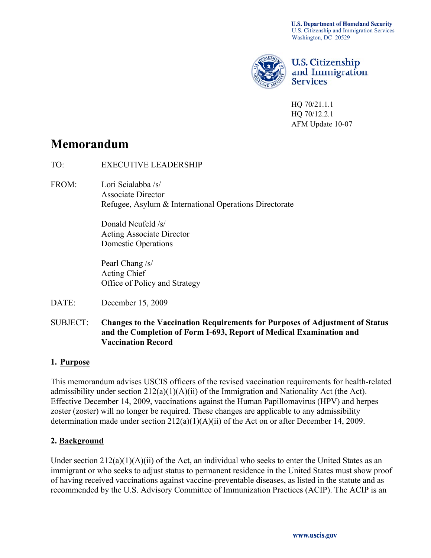**U.S. Department of Homeland Security** U.S. Citizenship and Immigration Services Washington, DC 20529



**U.S. Citizenship** and Immigration **Services** 

HQ 70/21.1.1 HQ 70/12.2.1 AFM Update 10-07

# **Memorandum**

- TO: EXECUTIVE LEADERSHIP
- FROM: Lori Scialabba /s/ Associate Director Refugee, Asylum & International Operations Directorate

 Donald Neufeld /s/ Acting Associate Director Domestic Operations

 Pearl Chang /s/ Acting Chief Office of Policy and Strategy

- DATE: December 15, 2009
- SUBJECT: **Changes to the Vaccination Requirements for Purposes of Adjustment of Status and the Completion of Form I-693, Report of Medical Examination and Vaccination Record**

#### **1. Purpose**

This memorandum advises USCIS officers of the revised vaccination requirements for health-related admissibility under section 212(a)(1)(A)(ii) of the Immigration and Nationality Act (the Act). Effective December 14, 2009, vaccinations against the Human Papillomavirus (HPV) and herpes zoster (zoster) will no longer be required. These changes are applicable to any admissibility determination made under section 212(a)(1)(A)(ii) of the Act on or after December 14, 2009.

#### **2. Background**

Under section  $212(a)(1)(A)(ii)$  of the Act, an individual who seeks to enter the United States as an immigrant or who seeks to adjust status to permanent residence in the United States must show proof of having received vaccinations against vaccine-preventable diseases, as listed in the statute and as recommended by the U.S. Advisory Committee of Immunization Practices (ACIP). The ACIP is an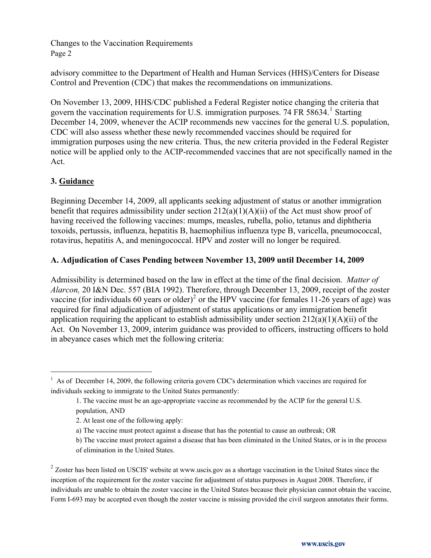advisory committee to the Department of Health and Human Services (HHS)/Centers for Disease Control and Prevention (CDC) that makes the recommendations on immunizations.

On November 13, 2009, HHS/CDC published a Federal Register notice changing the criteria that govern the vaccination requirements for U.S. immigration purposes. 74 FR 58634.<sup>[1](#page-1-0)</sup> Starting December 14, 2009, whenever the ACIP recommends new vaccines for the general U.S. population, CDC will also assess whether these newly recommended vaccines should be required for immigration purposes using the new criteria. Thus, the new criteria provided in the Federal Register notice will be applied only to the ACIP-recommended vaccines that are not specifically named in the Act.

# **3. Guidance**

l

Beginning December 14, 2009, all applicants seeking adjustment of status or another immigration benefit that requires admissibility under section 212(a)(1)(A)(ii) of the Act must show proof of having received the following vaccines: mumps, measles, rubella, polio, tetanus and diphtheria toxoids, pertussis, influenza, hepatitis B, haemophilius influenza type B, varicella, pneumococcal, rotavirus, hepatitis A, and meningococcal. HPV and zoster will no longer be required.

#### **A. Adjudication of Cases Pending between November 13, 2009 until December 14, 2009**

Admissibility is determined based on the law in effect at the time of the final decision. *Matter of Alarcon,* 20 I&N Dec. 557 (BIA 1992). Therefore, through December 13, 2009, receipt of the zoster vaccine (for individuals 60 years or older)<sup>[2](#page-1-1)</sup> or the HPV vaccine (for females 11-26 years of age) was required for final adjudication of adjustment of status applications or any immigration benefit application requiring the applicant to establish admissibility under section  $212(a)(1)(A)(ii)$  of the Act. On November 13, 2009, interim guidance was provided to officers, instructing officers to hold in abeyance cases which met the following criteria:

<span id="page-1-0"></span><sup>&</sup>lt;sup>1</sup> As of December 14, 2009, the following criteria govern CDC's determination which vaccines are required for individuals seeking to immigrate to the United States permanently:

 <sup>1.</sup> The vaccine must be an age-appropriate vaccine as recommended by the ACIP for the general U.S. population, AND

 <sup>2.</sup> At least one of the following apply:

a) The vaccine must protect against a disease that has the potential to cause an outbreak; OR

b) The vaccine must protect against a disease that has been eliminated in the United States, or is in the process of elimination in the United States.

<span id="page-1-1"></span><sup>&</sup>lt;sup>2</sup> Zoster has been listed on USCIS' website at www.uscis.gov as a shortage vaccination in the United States since the inception of the requirement for the zoster vaccine for adjustment of status purposes in August 2008. Therefore, if individuals are unable to obtain the zoster vaccine in the United States because their physician cannot obtain the vaccine, Form I-693 may be accepted even though the zoster vaccine is missing provided the civil surgeon annotates their forms.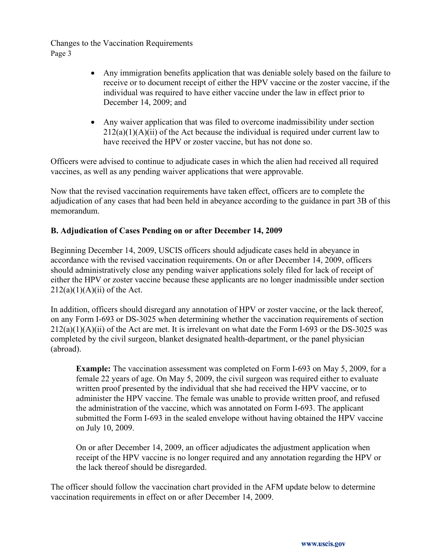- Any immigration benefits application that was deniable solely based on the failure to receive or to document receipt of either the HPV vaccine or the zoster vaccine, if the individual was required to have either vaccine under the law in effect prior to December 14, 2009; and
- Any waiver application that was filed to overcome inadmissibility under section  $212(a)(1)(A)(ii)$  of the Act because the individual is required under current law to have received the HPV or zoster vaccine, but has not done so.

Officers were advised to continue to adjudicate cases in which the alien had received all required vaccines, as well as any pending waiver applications that were approvable.

Now that the revised vaccination requirements have taken effect, officers are to complete the adjudication of any cases that had been held in abeyance according to the guidance in part 3B of this memorandum.

#### **B. Adjudication of Cases Pending on or after December 14, 2009**

Beginning December 14, 2009, USCIS officers should adjudicate cases held in abeyance in accordance with the revised vaccination requirements. On or after December 14, 2009, officers should administratively close any pending waiver applications solely filed for lack of receipt of either the HPV or zoster vaccine because these applicants are no longer inadmissible under section  $212(a)(1)(A)(ii)$  of the Act.

In addition, officers should disregard any annotation of HPV or zoster vaccine, or the lack thereof, on any Form I-693 or DS-3025 when determining whether the vaccination requirements of section  $212(a)(1)(A)(ii)$  of the Act are met. It is irrelevant on what date the Form I-693 or the DS-3025 was completed by the civil surgeon, blanket designated health-department, or the panel physician (abroad).

**Example:** The vaccination assessment was completed on Form I-693 on May 5, 2009, for a female 22 years of age. On May 5, 2009, the civil surgeon was required either to evaluate written proof presented by the individual that she had received the HPV vaccine, or to administer the HPV vaccine. The female was unable to provide written proof, and refused the administration of the vaccine, which was annotated on Form I-693. The applicant submitted the Form I-693 in the sealed envelope without having obtained the HPV vaccine on July 10, 2009.

On or after December 14, 2009, an officer adjudicates the adjustment application when receipt of the HPV vaccine is no longer required and any annotation regarding the HPV or the lack thereof should be disregarded.

The officer should follow the vaccination chart provided in the AFM update below to determine vaccination requirements in effect on or after December 14, 2009.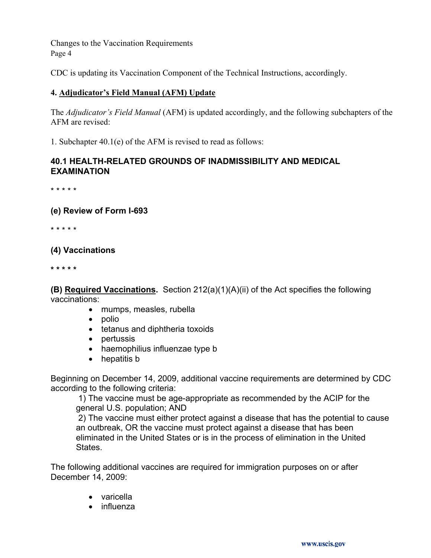CDC is updating its Vaccination Component of the Technical Instructions, accordingly.

# **4. Adjudicator's Field Manual (AFM) Update**

The *Adjudicator's Field Manual* (AFM) is updated accordingly, and the following subchapters of the AFM are revised:

1. Subchapter 40.1(e) of the AFM is revised to read as follows:

# **40.1 HEALTH-RELATED GROUNDS OF INADMISSIBILITY AND MEDICAL EXAMINATION**

\* \* \* \* \*

#### **(e) Review of Form I-693**

\* \* \* \* \*

# **(4) Vaccinations**

**\* \* \* \* \*** 

**(B) Required Vaccinations.** Section 212(a)(1)(A)(ii) of the Act specifies the following vaccinations:

- mumps, measles, rubella
- $\bullet$  polio
- tetanus and diphtheria toxoids
- $\bullet$  pertussis
- haemophilius influenzae type b
- $\bullet$  hepatitis b

Beginning on December 14, 2009, additional vaccine requirements are determined by CDC according to the following criteria:

 1) The vaccine must be age-appropriate as recommended by the ACIP for the general U.S. population; AND

 2) The vaccine must either protect against a disease that has the potential to cause an outbreak, OR the vaccine must protect against a disease that has been eliminated in the United States or is in the process of elimination in the United States.

The following additional vaccines are required for immigration purposes on or after December 14, 2009:

- varicella
- $\bullet$  influenza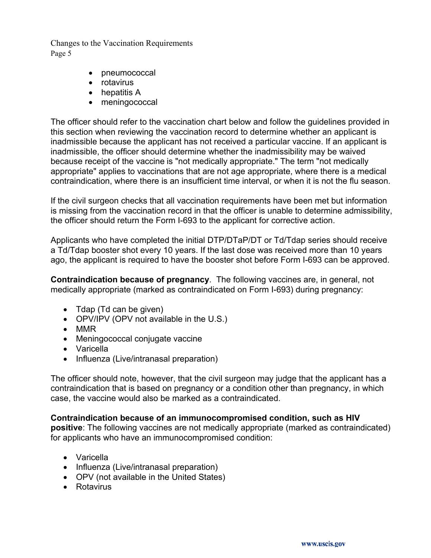- pneumococcal
- rotavirus
- $\bullet$  hepatitis A
- $\bullet$  meningococcal

The officer should refer to the vaccination chart below and follow the guidelines provided in this section when reviewing the vaccination record to determine whether an applicant is inadmissible because the applicant has not received a particular vaccine. If an applicant is inadmissible, the officer should determine whether the inadmissibility may be waived because receipt of the vaccine is "not medically appropriate." The term "not medically appropriate" applies to vaccinations that are not age appropriate, where there is a medical contraindication, where there is an insufficient time interval, or when it is not the flu season.

If the civil surgeon checks that all vaccination requirements have been met but information is missing from the vaccination record in that the officer is unable to determine admissibility, the officer should return the Form I-693 to the applicant for corrective action.

Applicants who have completed the initial DTP/DTaP/DT or Td/Tdap series should receive a Td/Tdap booster shot every 10 years. If the last dose was received more than 10 years ago, the applicant is required to have the booster shot before Form I-693 can be approved.

**Contraindication because of pregnancy**. The following vaccines are, in general, not medically appropriate (marked as contraindicated on Form I-693) during pregnancy:

- $\bullet$  Tdap (Td can be given)
- OPV/IPV (OPV not available in the U.S.)
- $\bullet$  MMR
- Meningococcal conjugate vaccine
- Varicella
- Influenza (Live/intranasal preparation)

The officer should note, however, that the civil surgeon may judge that the applicant has a contraindication that is based on pregnancy or a condition other than pregnancy, in which case, the vaccine would also be marked as a contraindicated.

#### **Contraindication because of an immunocompromised condition, such as HIV**

**positive**: The following vaccines are not medically appropriate (marked as contraindicated) for applicants who have an immunocompromised condition:

- Varicella
- Influenza (Live/intranasal preparation)
- OPV (not available in the United States)
- Rotavirus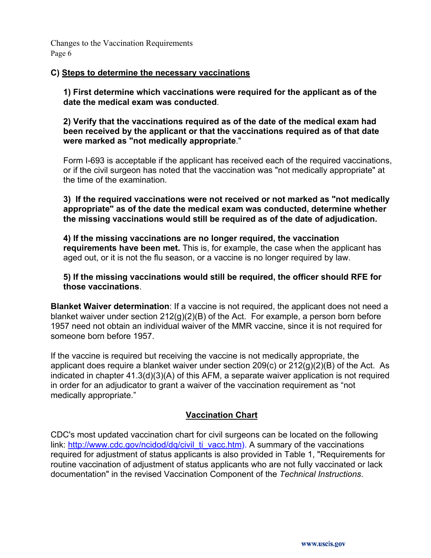#### **C) Steps to determine the necessary vaccinations**

**1) First determine which vaccinations were required for the applicant as of the date the medical exam was conducted**.

**2) Verify that the vaccinations required as of the date of the medical exam had been received by the applicant or that the vaccinations required as of that date were marked as "not medically appropriate**."

Form I-693 is acceptable if the applicant has received each of the required vaccinations, or if the civil surgeon has noted that the vaccination was "not medically appropriate" at the time of the examination.

**3) If the required vaccinations were not received or not marked as "not medically appropriate" as of the date the medical exam was conducted, determine whether the missing vaccinations would still be required as of the date of adjudication.** 

**4) If the missing vaccinations are no longer required, the vaccination requirements have been met.** This is, for example, the case when the applicant has aged out, or it is not the flu season, or a vaccine is no longer required by law.

**5) If the missing vaccinations would still be required, the officer should RFE for those vaccinations**.

**Blanket Waiver determination**: If a vaccine is not required, the applicant does not need a blanket waiver under section 212(g)(2)(B) of the Act. For example, a person born before 1957 need not obtain an individual waiver of the MMR vaccine, since it is not required for someone born before 1957.

If the vaccine is required but receiving the vaccine is not medically appropriate, the applicant does require a blanket waiver under section 209(c) or 212(g)(2)(B) of the Act. As indicated in chapter 41.3(d)(3)(A) of this AFM, a separate waiver application is not required in order for an adjudicator to grant a waiver of the vaccination requirement as "not medically appropriate."

#### **Vaccination Chart**

CDC's most updated vaccination chart for civil surgeons can be located on the following link: [http://www.cdc.gov/ncidod/dq/civil\\_ti\\_vacc.htm](http://www.cdc.gov/ncidod/dq/civil_ti_vacc.htm)). A summary of the vaccinations required for adjustment of status applicants is also provided in Table 1, "Requirements for routine vaccination of adjustment of status applicants who are not fully vaccinated or lack documentation" in the revised Vaccination Component of the *Technical Instructions*.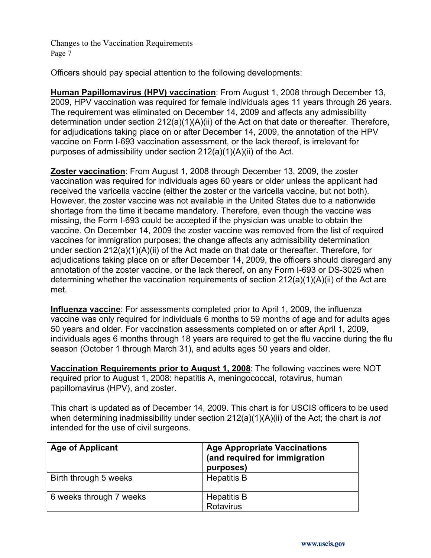Officers should pay special attention to the following developments:

**Human Papillomavirus (HPV) vaccination**: From August 1, 2008 through December 13, 2009, HPV vaccination was required for female individuals ages 11 years through 26 years. The requirement was eliminated on December 14, 2009 and affects any admissibility determination under section  $212(a)(1)(A)(ii)$  of the Act on that date or thereafter. Therefore, for adjudications taking place on or after December 14, 2009, the annotation of the HPV vaccine on Form I-693 vaccination assessment, or the lack thereof, is irrelevant for purposes of admissibility under section 212(a)(1)(A)(ii) of the Act.

**Zoster vaccination**: From August 1, 2008 through December 13, 2009, the zoster vaccination was required for individuals ages 60 years or older unless the applicant had received the varicella vaccine (either the zoster or the varicella vaccine, but not both). However, the zoster vaccine was not available in the United States due to a nationwide shortage from the time it became mandatory. Therefore, even though the vaccine was missing, the Form I-693 could be accepted if the physician was unable to obtain the vaccine. On December 14, 2009 the zoster vaccine was removed from the list of required vaccines for immigration purposes; the change affects any admissibility determination under section 212(a)(1)(A)(ii) of the Act made on that date or thereafter. Therefore, for adjudications taking place on or after December 14, 2009, the officers should disregard any annotation of the zoster vaccine, or the lack thereof, on any Form I-693 or DS-3025 when determining whether the vaccination requirements of section 212(a)(1)(A)(ii) of the Act are met.

**Influenza vaccine**: For assessments completed prior to April 1, 2009, the influenza vaccine was only required for individuals 6 months to 59 months of age and for adults ages 50 years and older. For vaccination assessments completed on or after April 1, 2009, individuals ages 6 months through 18 years are required to get the flu vaccine during the flu season (October 1 through March 31), and adults ages 50 years and older.

**Vaccination Requirements prior to August 1, 2008**: The following vaccines were NOT required prior to August 1, 2008: hepatitis A, meningococcal, rotavirus, human papillomavirus (HPV), and zoster.

This chart is updated as of December 14, 2009. This chart is for USCIS officers to be used when determining inadmissibility under section 212(a)(1)(A)(ii) of the Act; the chart is *not* intended for the use of civil surgeons.

| <b>Age of Applicant</b> | <b>Age Appropriate Vaccinations</b><br>(and required for immigration<br>purposes) |
|-------------------------|-----------------------------------------------------------------------------------|
| Birth through 5 weeks   | <b>Hepatitis B</b>                                                                |
| 6 weeks through 7 weeks | <b>Hepatitis B</b><br>Rotavirus                                                   |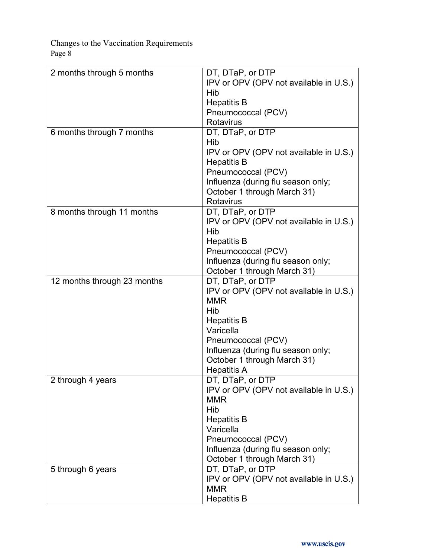| IPV or OPV (OPV not available in U.S.)<br>Hib<br><b>Hepatitis B</b><br>Pneumococcal (PCV)<br>Rotavirus<br>DT, DTaP, or DTP<br>6 months through 7 months<br>Hib<br>IPV or OPV (OPV not available in U.S.)<br><b>Hepatitis B</b><br>Pneumococcal (PCV)<br>Influenza (during flu season only;<br>October 1 through March 31)<br>Rotavirus<br>8 months through 11 months<br>DT, DTaP, or DTP<br>IPV or OPV (OPV not available in U.S.)<br>Hib<br><b>Hepatitis B</b><br>Pneumococcal (PCV)<br>Influenza (during flu season only;<br>October 1 through March 31)<br>12 months through 23 months<br>DT, DTaP, or DTP<br>IPV or OPV (OPV not available in U.S.)<br><b>MMR</b><br>Hib<br><b>Hepatitis B</b><br>Varicella<br>Pneumococcal (PCV)<br>Influenza (during flu season only;<br>October 1 through March 31)<br><b>Hepatitis A</b><br>2 through 4 years<br>DT, DTaP, or DTP<br>IPV or OPV (OPV not available in U.S.)<br><b>MMR</b><br>Hib<br><b>Hepatitis B</b><br>Varicella<br>Pneumococcal (PCV)<br>Influenza (during flu season only;<br>October 1 through March 31)<br>DT, DTaP, or DTP<br>5 through 6 years<br>IPV or OPV (OPV not available in U.S.)<br><b>MMR</b> |                           |                    |
|-------------------------------------------------------------------------------------------------------------------------------------------------------------------------------------------------------------------------------------------------------------------------------------------------------------------------------------------------------------------------------------------------------------------------------------------------------------------------------------------------------------------------------------------------------------------------------------------------------------------------------------------------------------------------------------------------------------------------------------------------------------------------------------------------------------------------------------------------------------------------------------------------------------------------------------------------------------------------------------------------------------------------------------------------------------------------------------------------------------------------------------------------------------------------|---------------------------|--------------------|
|                                                                                                                                                                                                                                                                                                                                                                                                                                                                                                                                                                                                                                                                                                                                                                                                                                                                                                                                                                                                                                                                                                                                                                         | 2 months through 5 months | DT, DTaP, or DTP   |
|                                                                                                                                                                                                                                                                                                                                                                                                                                                                                                                                                                                                                                                                                                                                                                                                                                                                                                                                                                                                                                                                                                                                                                         |                           |                    |
|                                                                                                                                                                                                                                                                                                                                                                                                                                                                                                                                                                                                                                                                                                                                                                                                                                                                                                                                                                                                                                                                                                                                                                         |                           |                    |
|                                                                                                                                                                                                                                                                                                                                                                                                                                                                                                                                                                                                                                                                                                                                                                                                                                                                                                                                                                                                                                                                                                                                                                         |                           |                    |
|                                                                                                                                                                                                                                                                                                                                                                                                                                                                                                                                                                                                                                                                                                                                                                                                                                                                                                                                                                                                                                                                                                                                                                         |                           |                    |
|                                                                                                                                                                                                                                                                                                                                                                                                                                                                                                                                                                                                                                                                                                                                                                                                                                                                                                                                                                                                                                                                                                                                                                         |                           |                    |
|                                                                                                                                                                                                                                                                                                                                                                                                                                                                                                                                                                                                                                                                                                                                                                                                                                                                                                                                                                                                                                                                                                                                                                         |                           |                    |
|                                                                                                                                                                                                                                                                                                                                                                                                                                                                                                                                                                                                                                                                                                                                                                                                                                                                                                                                                                                                                                                                                                                                                                         |                           |                    |
|                                                                                                                                                                                                                                                                                                                                                                                                                                                                                                                                                                                                                                                                                                                                                                                                                                                                                                                                                                                                                                                                                                                                                                         |                           |                    |
|                                                                                                                                                                                                                                                                                                                                                                                                                                                                                                                                                                                                                                                                                                                                                                                                                                                                                                                                                                                                                                                                                                                                                                         |                           |                    |
|                                                                                                                                                                                                                                                                                                                                                                                                                                                                                                                                                                                                                                                                                                                                                                                                                                                                                                                                                                                                                                                                                                                                                                         |                           |                    |
|                                                                                                                                                                                                                                                                                                                                                                                                                                                                                                                                                                                                                                                                                                                                                                                                                                                                                                                                                                                                                                                                                                                                                                         |                           |                    |
|                                                                                                                                                                                                                                                                                                                                                                                                                                                                                                                                                                                                                                                                                                                                                                                                                                                                                                                                                                                                                                                                                                                                                                         |                           |                    |
|                                                                                                                                                                                                                                                                                                                                                                                                                                                                                                                                                                                                                                                                                                                                                                                                                                                                                                                                                                                                                                                                                                                                                                         |                           |                    |
|                                                                                                                                                                                                                                                                                                                                                                                                                                                                                                                                                                                                                                                                                                                                                                                                                                                                                                                                                                                                                                                                                                                                                                         |                           |                    |
|                                                                                                                                                                                                                                                                                                                                                                                                                                                                                                                                                                                                                                                                                                                                                                                                                                                                                                                                                                                                                                                                                                                                                                         |                           |                    |
|                                                                                                                                                                                                                                                                                                                                                                                                                                                                                                                                                                                                                                                                                                                                                                                                                                                                                                                                                                                                                                                                                                                                                                         |                           |                    |
|                                                                                                                                                                                                                                                                                                                                                                                                                                                                                                                                                                                                                                                                                                                                                                                                                                                                                                                                                                                                                                                                                                                                                                         |                           |                    |
|                                                                                                                                                                                                                                                                                                                                                                                                                                                                                                                                                                                                                                                                                                                                                                                                                                                                                                                                                                                                                                                                                                                                                                         |                           |                    |
|                                                                                                                                                                                                                                                                                                                                                                                                                                                                                                                                                                                                                                                                                                                                                                                                                                                                                                                                                                                                                                                                                                                                                                         |                           |                    |
|                                                                                                                                                                                                                                                                                                                                                                                                                                                                                                                                                                                                                                                                                                                                                                                                                                                                                                                                                                                                                                                                                                                                                                         |                           |                    |
|                                                                                                                                                                                                                                                                                                                                                                                                                                                                                                                                                                                                                                                                                                                                                                                                                                                                                                                                                                                                                                                                                                                                                                         |                           |                    |
|                                                                                                                                                                                                                                                                                                                                                                                                                                                                                                                                                                                                                                                                                                                                                                                                                                                                                                                                                                                                                                                                                                                                                                         |                           |                    |
|                                                                                                                                                                                                                                                                                                                                                                                                                                                                                                                                                                                                                                                                                                                                                                                                                                                                                                                                                                                                                                                                                                                                                                         |                           |                    |
|                                                                                                                                                                                                                                                                                                                                                                                                                                                                                                                                                                                                                                                                                                                                                                                                                                                                                                                                                                                                                                                                                                                                                                         |                           |                    |
|                                                                                                                                                                                                                                                                                                                                                                                                                                                                                                                                                                                                                                                                                                                                                                                                                                                                                                                                                                                                                                                                                                                                                                         |                           |                    |
|                                                                                                                                                                                                                                                                                                                                                                                                                                                                                                                                                                                                                                                                                                                                                                                                                                                                                                                                                                                                                                                                                                                                                                         |                           |                    |
|                                                                                                                                                                                                                                                                                                                                                                                                                                                                                                                                                                                                                                                                                                                                                                                                                                                                                                                                                                                                                                                                                                                                                                         |                           |                    |
|                                                                                                                                                                                                                                                                                                                                                                                                                                                                                                                                                                                                                                                                                                                                                                                                                                                                                                                                                                                                                                                                                                                                                                         |                           |                    |
|                                                                                                                                                                                                                                                                                                                                                                                                                                                                                                                                                                                                                                                                                                                                                                                                                                                                                                                                                                                                                                                                                                                                                                         |                           |                    |
|                                                                                                                                                                                                                                                                                                                                                                                                                                                                                                                                                                                                                                                                                                                                                                                                                                                                                                                                                                                                                                                                                                                                                                         |                           |                    |
|                                                                                                                                                                                                                                                                                                                                                                                                                                                                                                                                                                                                                                                                                                                                                                                                                                                                                                                                                                                                                                                                                                                                                                         |                           |                    |
|                                                                                                                                                                                                                                                                                                                                                                                                                                                                                                                                                                                                                                                                                                                                                                                                                                                                                                                                                                                                                                                                                                                                                                         |                           |                    |
|                                                                                                                                                                                                                                                                                                                                                                                                                                                                                                                                                                                                                                                                                                                                                                                                                                                                                                                                                                                                                                                                                                                                                                         |                           |                    |
|                                                                                                                                                                                                                                                                                                                                                                                                                                                                                                                                                                                                                                                                                                                                                                                                                                                                                                                                                                                                                                                                                                                                                                         |                           |                    |
|                                                                                                                                                                                                                                                                                                                                                                                                                                                                                                                                                                                                                                                                                                                                                                                                                                                                                                                                                                                                                                                                                                                                                                         |                           |                    |
|                                                                                                                                                                                                                                                                                                                                                                                                                                                                                                                                                                                                                                                                                                                                                                                                                                                                                                                                                                                                                                                                                                                                                                         |                           |                    |
|                                                                                                                                                                                                                                                                                                                                                                                                                                                                                                                                                                                                                                                                                                                                                                                                                                                                                                                                                                                                                                                                                                                                                                         |                           |                    |
|                                                                                                                                                                                                                                                                                                                                                                                                                                                                                                                                                                                                                                                                                                                                                                                                                                                                                                                                                                                                                                                                                                                                                                         |                           |                    |
|                                                                                                                                                                                                                                                                                                                                                                                                                                                                                                                                                                                                                                                                                                                                                                                                                                                                                                                                                                                                                                                                                                                                                                         |                           |                    |
|                                                                                                                                                                                                                                                                                                                                                                                                                                                                                                                                                                                                                                                                                                                                                                                                                                                                                                                                                                                                                                                                                                                                                                         |                           |                    |
|                                                                                                                                                                                                                                                                                                                                                                                                                                                                                                                                                                                                                                                                                                                                                                                                                                                                                                                                                                                                                                                                                                                                                                         |                           |                    |
|                                                                                                                                                                                                                                                                                                                                                                                                                                                                                                                                                                                                                                                                                                                                                                                                                                                                                                                                                                                                                                                                                                                                                                         |                           |                    |
|                                                                                                                                                                                                                                                                                                                                                                                                                                                                                                                                                                                                                                                                                                                                                                                                                                                                                                                                                                                                                                                                                                                                                                         |                           | <b>Hepatitis B</b> |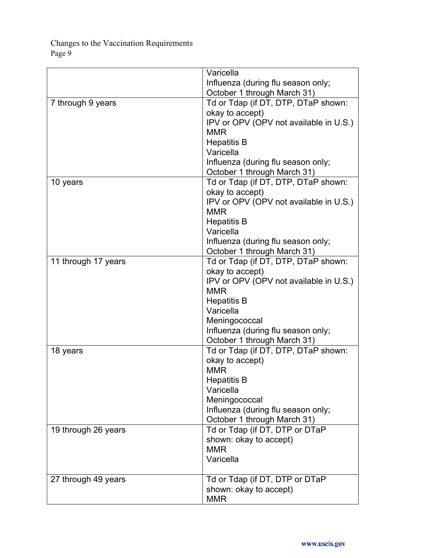|                     | Varicella                              |
|---------------------|----------------------------------------|
|                     | Influenza (during flu season only;     |
|                     | October 1 through March 31)            |
| 7 through 9 years   | Td or Tdap (if DT, DTP, DTaP shown:    |
|                     | okay to accept)                        |
|                     | IPV or OPV (OPV not available in U.S.) |
|                     | <b>MMR</b>                             |
|                     | <b>Hepatitis B</b>                     |
|                     | Varicella                              |
|                     | Influenza (during flu season only;     |
|                     | October 1 through March 31)            |
| 10 years            | Td or Tdap (if DT, DTP, DTaP shown:    |
|                     | okay to accept)                        |
|                     | IPV or OPV (OPV not available in U.S.) |
|                     | <b>MMR</b>                             |
|                     | <b>Hepatitis B</b>                     |
|                     | Varicella                              |
|                     | Influenza (during flu season only;     |
|                     | October 1 through March 31)            |
| 11 through 17 years | Td or Tdap (if DT, DTP, DTaP shown:    |
|                     | okay to accept)                        |
|                     | IPV or OPV (OPV not available in U.S.) |
|                     | <b>MMR</b>                             |
|                     | <b>Hepatitis B</b>                     |
|                     | Varicella                              |
|                     | Meningococcal                          |
|                     | Influenza (during flu season only;     |
|                     | October 1 through March 31)            |
| 18 years            | Td or Tdap (if DT, DTP, DTaP shown:    |
|                     | okay to accept)                        |
|                     | <b>MMR</b>                             |
|                     | <b>Hepatitis B</b>                     |
|                     | Varicella                              |
|                     | Meningococcal                          |
|                     | Influenza (during flu season only;     |
|                     | October 1 through March 31)            |
| 19 through 26 years | Td or Tdap (if DT, DTP or DTaP         |
|                     | shown: okay to accept)                 |
|                     | <b>MMR</b>                             |
|                     | Varicella                              |
| 27 through 49 years | Td or Tdap (if DT, DTP or DTaP         |
|                     | shown: okay to accept)                 |
|                     | <b>MMR</b>                             |